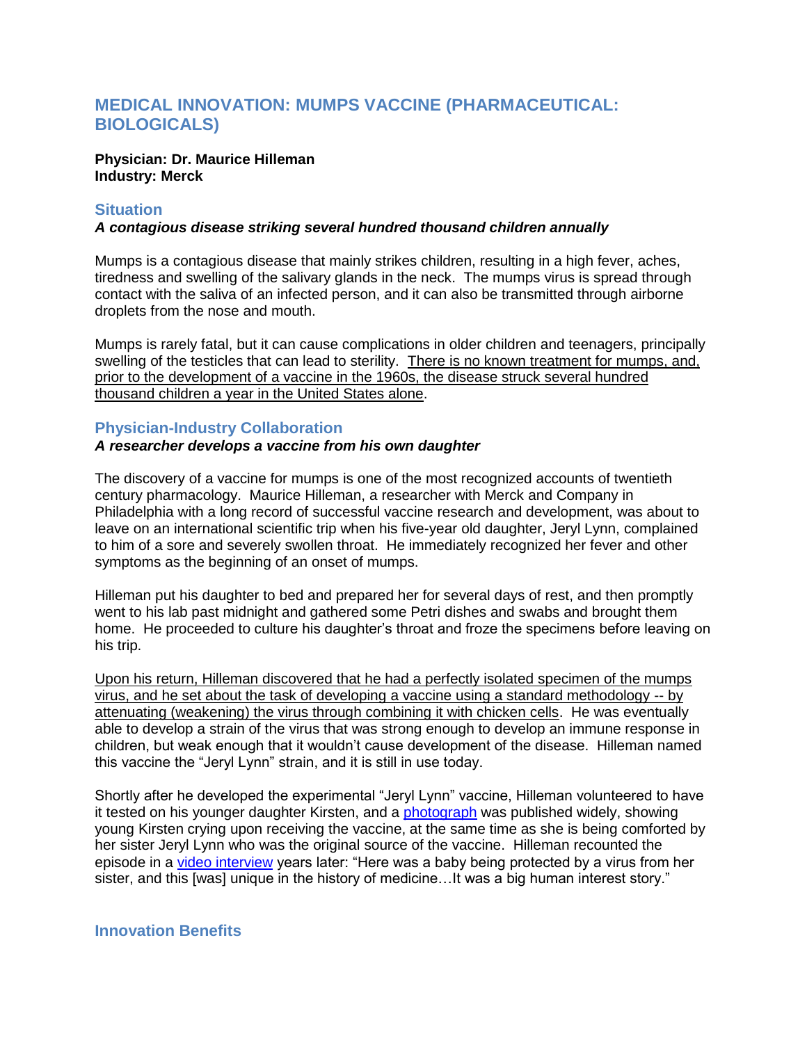# **MEDICAL INNOVATION: MUMPS VACCINE (PHARMACEUTICAL: BIOLOGICALS)**

#### **Physician: Dr. Maurice Hilleman Industry: Merck**

## **Situation**

## *A contagious disease striking several hundred thousand children annually*

Mumps is a contagious disease that mainly strikes children, resulting in a high fever, aches, tiredness and swelling of the salivary glands in the neck. The mumps virus is spread through contact with the saliva of an infected person, and it can also be transmitted through airborne droplets from the nose and mouth.

Mumps is rarely fatal, but it can cause complications in older children and teenagers, principally swelling of the testicles that can lead to sterility. There is no known treatment for mumps, and, prior to the development of a vaccine in the 1960s, the disease struck several hundred thousand children a year in the United States alone.

# **Physician-Industry Collaboration**

## *A researcher develops a vaccine from his own daughter*

The discovery of a vaccine for mumps is one of the most recognized accounts of twentieth century pharmacology. Maurice Hilleman, a researcher with Merck and Company in Philadelphia with a long record of successful vaccine research and development, was about to leave on an international scientific trip when his five-year old daughter, Jeryl Lynn, complained to him of a sore and severely swollen throat. He immediately recognized her fever and other symptoms as the beginning of an onset of mumps.

Hilleman put his daughter to bed and prepared her for several days of rest, and then promptly went to his lab past midnight and gathered some Petri dishes and swabs and brought them home. He proceeded to culture his daughter's throat and froze the specimens before leaving on his trip.

Upon his return, Hilleman discovered that he had a perfectly isolated specimen of the mumps virus, and he set about the task of developing a vaccine using a standard methodology -- by attenuating (weakening) the virus through combining it with chicken cells. He was eventually able to develop a strain of the virus that was strong enough to develop an immune response in children, but weak enough that it wouldn't cause development of the disease. Hilleman named this vaccine the "Jeryl Lynn" strain, and it is still in use today.

Shortly after he developed the experimental "Jeryl Lynn" vaccine, Hilleman volunteered to have it tested on his younger daughter Kirsten, and a [photograph](http://www.historyofvaccines.org/content/timelines/pioneers#EVT_100814) was published widely, showing young Kirsten crying upon receiving the vaccine, at the same time as she is being comforted by her sister Jeryl Lynn who was the original source of the vaccine. Hilleman recounted the episode in a [video interview](http://www.historyofvaccines.org/content/timelines/pioneers#EVT_100814) years later: "Here was a baby being protected by a virus from her sister, and this [was] unique in the history of medicine...It was a big human interest story."

## **Innovation Benefits**